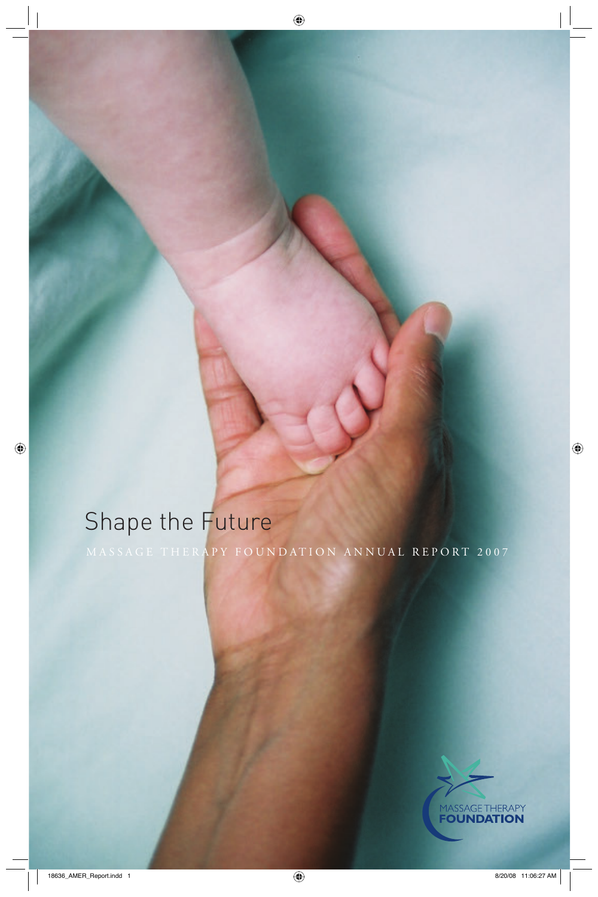# Shape the Future

MASSAGE THERAPY FOUNDATION ANNUAL REPORT 2007

 $\bigoplus$ 



 $\bigoplus$ 

 $\bigoplus$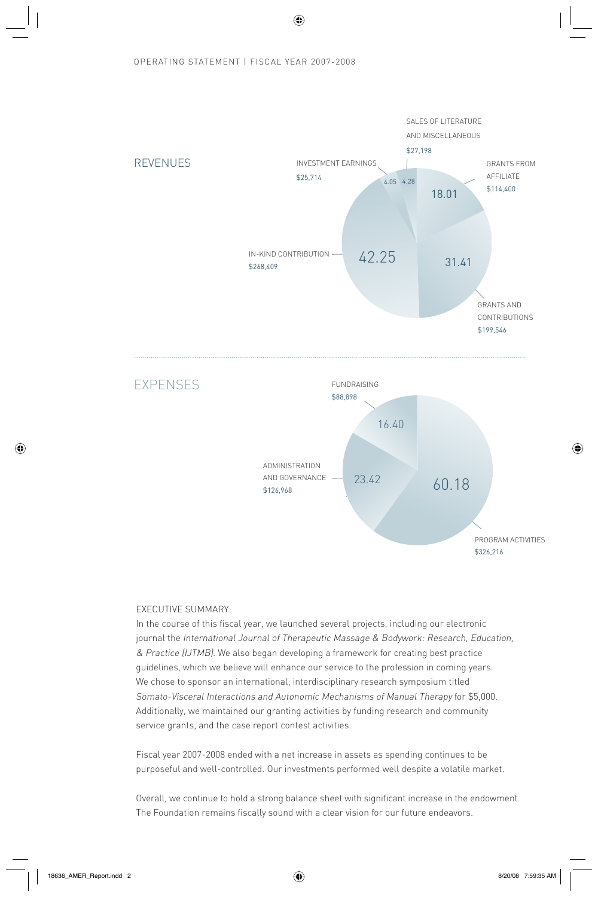# OPERATING STATEMENT | FISCAL YEAR 2007-2008

⊕





# EXECUTIVE SUMMARY:

In the course of this fiscal year, we launched several projects, including our electronic journal the International Journal of Therapeutic Massage & Bodywork: Research, Education, & Practice (IJTMB). We also began developing a framework for creating best practice guidelines, which we believe will enhance our service to the profession in coming years. We chose to sponsor an international, interdisciplinary research symposium titled Somato-Visceral Interactions and Autonomic Mechanisms of Manual Therapy for \$5,000. Additionally, we maintained our granting activities by funding research and community service grants, and the case report contest activities.

Fiscal year 2007-2008 ended with a net increase in assets as spending continues to be purposeful and well-controlled. Our investments performed well despite a volatile market.

Overall, we continue to hold a strong balance sheet with significant increase in the endowment. The Foundation remains fiscally sound with a clear vision for our future endeavors.

⊕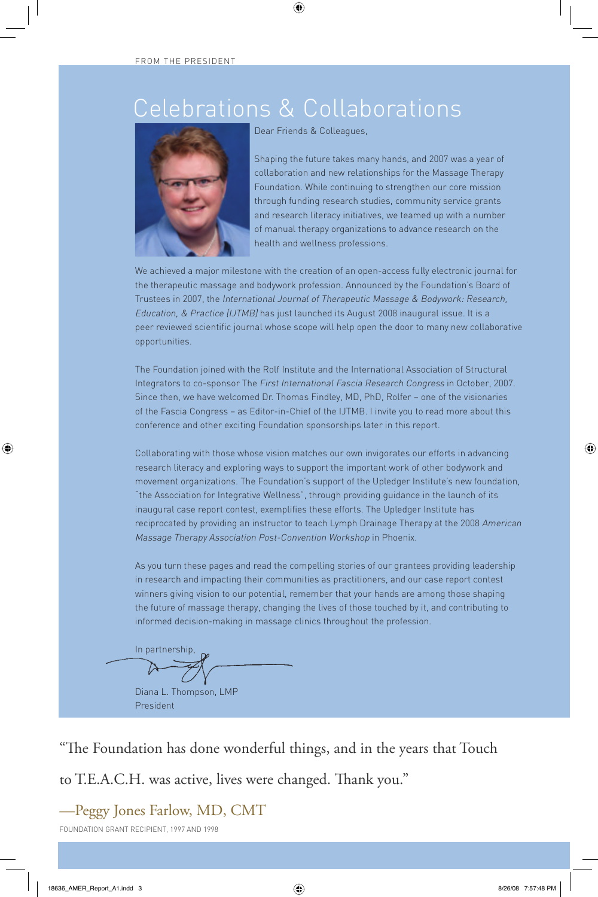# Celebrations & Collaborations

 $\bigoplus$ 



Dear Friends & Colleagues,

Shaping the future takes many hands, and 2007 was a year of collaboration and new relationships for the Massage Therapy Foundation. While continuing to strengthen our core mission through funding research studies, community service grants and research literacy initiatives, we teamed up with a number of manual therapy organizations to advance research on the health and wellness professions.

We achieved a major milestone with the creation of an open-access fully electronic journal for the therapeutic massage and bodywork profession. Announced by the Foundation's Board of Trustees in 2007, the International Journal of Therapeutic Massage & Bodywork: Research, Education, & Practice (IJTMB) has just launched its August 2008 inaugural issue. It is a peer reviewed scientific journal whose scope will help open the door to many new collaborative opportunities.

The Foundation joined with the Rolf Institute and the International Association of Structural Integrators to co-sponsor The First International Fascia Research Congress in October, 2007. Since then, we have welcomed Dr. Thomas Findley, MD, PhD, Rolfer – one of the visionaries of the Fascia Congress – as Editor-in-Chief of the IJTMB. I invite you to read more about this conference and other exciting Foundation sponsorships later in this report.

Collaborating with those whose vision matches our own invigorates our efforts in advancing research literacy and exploring ways to support the important work of other bodywork and movement organizations. The Foundation's support of the Upledger Institute's new foundation, "the Association for Integrative Wellness", through providing guidance in the launch of its inaugural case report contest, exemplifies these efforts. The Upledger Institute has reciprocated by providing an instructor to teach Lymph Drainage Therapy at the 2008 American Massage Therapy Association Post-Convention Workshop in Phoenix.

As you turn these pages and read the compelling stories of our grantees providing leadership in research and impacting their communities as practitioners, and our case report contest winners giving vision to our potential, remember that your hands are among those shaping the future of massage therapy, changing the lives of those touched by it, and contributing to informed decision-making in massage clinics throughout the profession.

In partnership,

Diana L. Thompson, LMP President

"The Foundation has done wonderful things, and in the years that Touch

to T.E.A.C.H. was active, lives were changed. Thank you."

—Peggy Jones Farlow, MD, CMT

FOUNDATION GRANT RECIPIENT, 1997 AND 1998

⊕

♠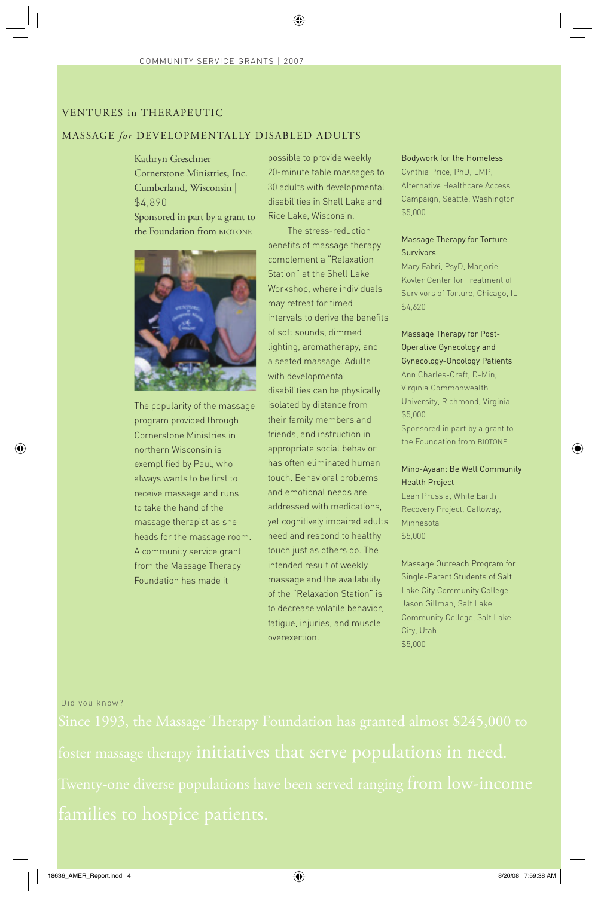# VENTURES in THERAPEUTIC

# MASSAGE *for* DEVELOPMENTALLY DISABLED ADULTS

Kathryn Greschner Cornerstone Ministries, Inc. Cumberland, Wisconsin | \$4,890

Sponsored in part by a grant to the Foundation from BIOTONE



The popularity of the massage program provided through Cornerstone Ministries in northern Wisconsin is exemplified by Paul, who always wants to be first to receive massage and runs to take the hand of the massage therapist as she heads for the massage room. A community service grant from the Massage Therapy Foundation has made it

possible to provide weekly 20-minute table massages to 30 adults with developmental disabilities in Shell Lake and Rice Lake, Wisconsin.

♠

The stress-reduction benefits of massage therapy complement a "Relaxation Station" at the Shell Lake Workshop, where individuals may retreat for timed intervals to derive the benefits of soft sounds, dimmed lighting, aromatherapy, and a seated massage. Adults with developmental disabilities can be physically isolated by distance from their family members and friends, and instruction in appropriate social behavior has often eliminated human touch. Behavioral problems and emotional needs are addressed with medications, yet cognitively impaired adults need and respond to healthy touch just as others do. The intended result of weekly massage and the availability of the "Relaxation Station" is to decrease volatile behavior, fatigue, injuries, and muscle overexertion.

# Bodywork for the Homeless

Cynthia Price, PhD, LMP, Alternative Healthcare Access Campaign, Seattle, Washington \$5,000

# Massage Therapy for Torture Survivors

Mary Fabri, PsyD, Marjorie Kovler Center for Treatment of Survivors of Torture, Chicago, IL \$4,620

Massage Therapy for Post-Operative Gynecology and Gynecology-Oncology Patients Ann Charles-Craft, D-Min, Virginia Commonwealth University, Richmond, Virginia \$5,000 Sponsored in part by a grant to the Foundation from BIOTONE

# Mino-Ayaan: Be Well Community Health Project

⊕

Leah Prussia, White Earth Recovery Project, Calloway, Minnesota \$5,000

Massage Outreach Program for Single-Parent Students of Salt Lake City Community College Jason Gillman, Salt Lake Community College, Salt Lake City, Utah \$5,000

### Did you know?

⊕

families to hospice patients.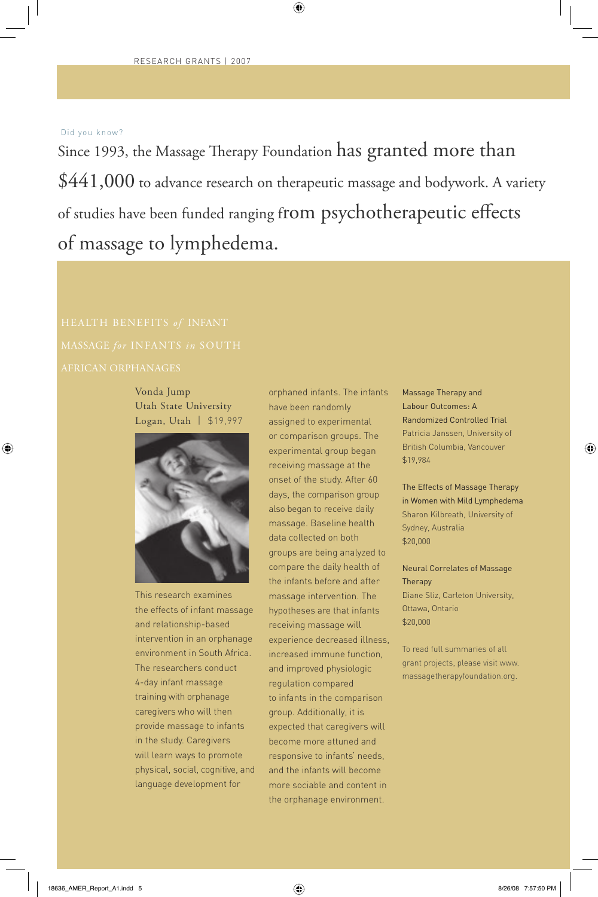# Did you know?

⊕

Since 1993, the Massage Therapy Foundation has granted more than \$441,000 to advance research on therapeutic massage and bodywork. A variety of studies have been funded ranging from psychotherapeutic effects of massage to lymphedema.

 $\bigoplus$ 

Vonda Jump Utah State University Logan, Utah | \$19,997



This research examines the effects of infant massage and relationship-based intervention in an orphanage environment in South Africa. The researchers conduct 4-day infant massage training with orphanage caregivers who will then provide massage to infants in the study. Caregivers will learn ways to promote physical, social, cognitive, and language development for

orphaned infants. The infants have been randomly assigned to experimental or comparison groups. The experimental group began receiving massage at the onset of the study. After 60 days, the comparison group also began to receive daily massage. Baseline health data collected on both groups are being analyzed to compare the daily health of the infants before and after massage intervention. The hypotheses are that infants receiving massage will experience decreased illness, increased immune function, and improved physiologic regulation compared to infants in the comparison group. Additionally, it is expected that caregivers will become more attuned and responsive to infants' needs, and the infants will become more sociable and content in the orphanage environment.

Massage Therapy and Labour Outcomes: A Randomized Controlled Trial Patricia Janssen, University of British Columbia, Vancouver \$19,984

⊕

The Effects of Massage Therapy in Women with Mild Lymphedema Sharon Kilbreath, University of Sydney, Australia \$20,000

Neural Correlates of Massage Therapy Diane Sliz, Carleton University, Ottawa, Ontario \$20,000

To read full summaries of all grant projects, please visit www. massagetherapyfoundation.org.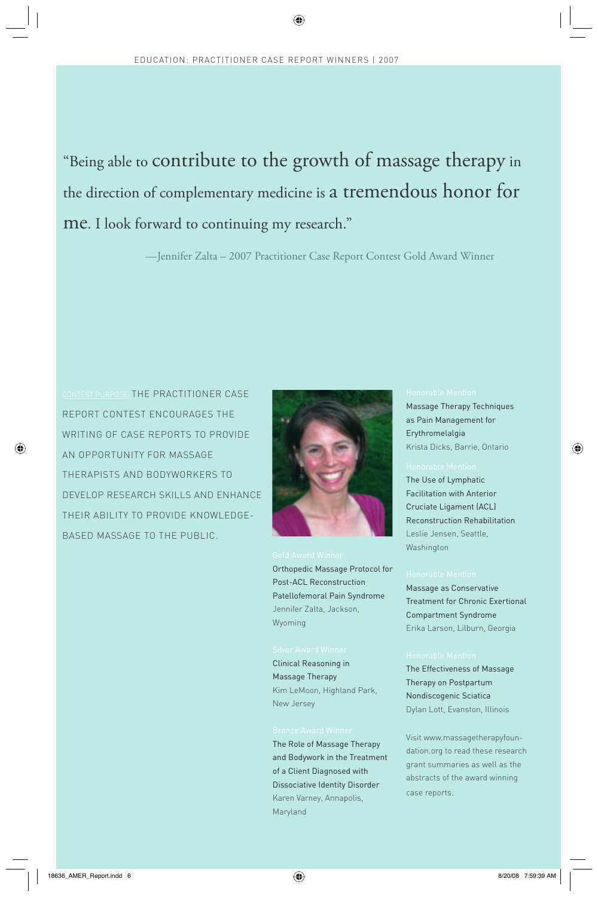⊕

# "Being able to contribute to the growth of massage therapy in the direction of complementary medicine is a tremendous honor for me. I look forward to continuing my research."

—Jennifer Zalta – 2007 Practitioner Case Report Contest Gold Award Winner

CONTEST PURPOSE: THE PRACTITIONER CASE REPORT CONTEST ENCOURAGES THE WRITING OF CASE REPORTS TO PROVIDE AN OPPORTUNITY FOR MASSAGE THERAPISTS AND BODYWORKERS TO DEVELOP RESEARCH SKILLS AND ENHANCE THEIR ABILITY TO PROVIDE KNOWLEDGE-BASED MASSAGE TO THE PUBLIC.

⊕



Orthopedic Massage Protocol for Post-ACL Reconstruction Patellofemoral Pain Syndrome Jennifer Zalta, Jackson, Wyoming

Clinical Reasoning in Massage Therapy Kim LeMoon, Highland Park, New Jersey

The Role of Massage Therapy and Bodywork in the Treatment of a Client Diagnosed with Dissociative Identity Disorder Karen Varney, Annapolis, Maryland

Massage Therapy Techniques as Pain Management for Erythromelalgia Krista Dicks, Barrie, Ontario

⊕

The Use of Lymphatic Facilitation with Anterior Cruciate Ligament (ACL) Reconstruction Rehabilitation Leslie Jensen, Seattle, Washington

Massage as Conservative Treatment for Chronic Exertional Compartment Syndrome Erika Larson, Lilburn, Georgia

The Effectiveness of Massage Therapy on Postpartum Nondiscogenic Sciatica Dylan Lott, Evanston, Illinois

Visit www.massagetherapyfoundation.org to read these research grant summaries as well as the abstracts of the award winning case reports.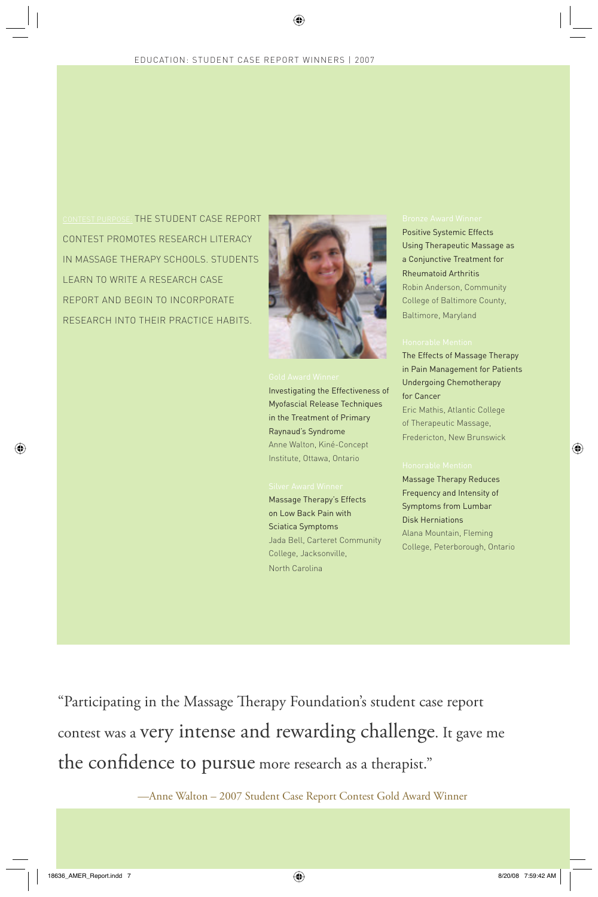⊕

CONTEST PURPOSE: THE STUDENT CASE REPORT CONTEST PROMOTES RESEARCH LITERACY IN MASSAGE THERAPY SCHOOLS. STUDENTS LEARN TO WRITE A RESEARCH CASE REPORT AND BEGIN TO INCORPORATE RESEARCH INTO THEIR PRACTICE HABITS.



Investigating the Effectiveness of Myofascial Release Techniques in the Treatment of Primary Raynaud's Syndrome Anne Walton, Kiné-Concept Institute, Ottawa, Ontario

Massage Therapy's Effects on Low Back Pain with Sciatica Symptoms Jada Bell, Carteret Community College, Jacksonville, North Carolina

Positive Systemic Effects Using Therapeutic Massage as a Conjunctive Treatment for Rheumatoid Arthritis Robin Anderson, Community College of Baltimore County, Baltimore, Maryland

The Effects of Massage Therapy in Pain Management for Patients Undergoing Chemotherapy for Cancer Eric Mathis, Atlantic College of Therapeutic Massage, Fredericton, New Brunswick

⊕

Massage Therapy Reduces Frequency and Intensity of Symptoms from Lumbar Disk Herniations Alana Mountain, Fleming College, Peterborough, Ontario

"Participating in the Massage Therapy Foundation's student case report contest was a very intense and rewarding challenge. It gave me the confidence to pursue more research as a therapist."

—Anne Walton – 2007 Student Case Report Contest Gold Award Winner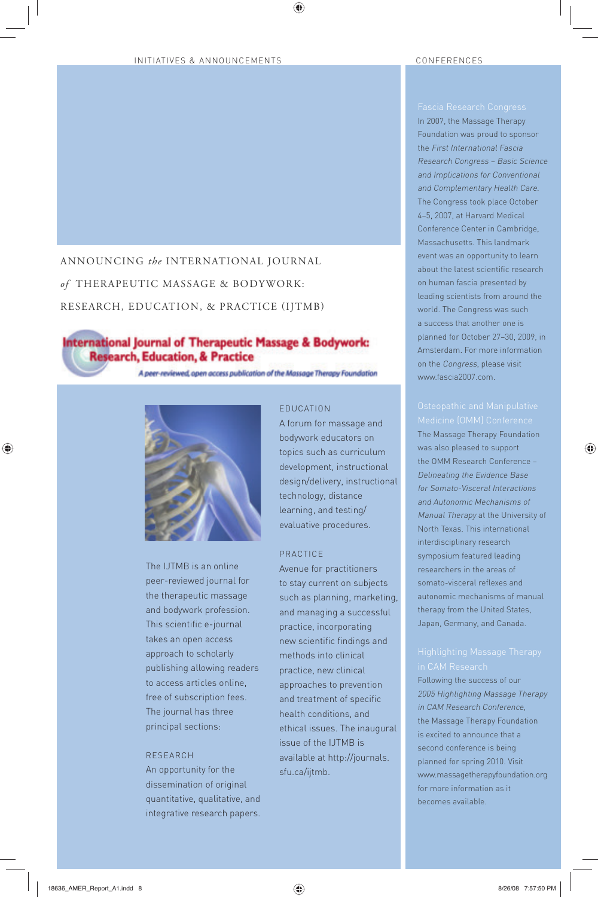# INITIATIVES & ANNOUNCEMENTS CONFERENCES

# ANNOUNCING *the* INTERNATIONAL JOURNAL *of* THERAPEUTIC MASSAGE & BODYWORK:

RESEARCH, EDUCATION, & PRACTICE (IJTMB)

# International Journal of Therapeutic Massage & Bodywork: **Research, Education, & Practice**

A peer-reviewed, open access publication of the Massage Therapy Foundation



The IJTMB is an online peer-reviewed journal for the therapeutic massage and bodywork profession. This scientific e-journal takes an open access approach to scholarly publishing allowing readers to access articles online, free of subscription fees. The journal has three principal sections:

## RESEARCH

An opportunity for the dissemination of original quantitative, qualitative, and integrative research papers.

# EDUCATION

◈

A forum for massage and bodywork educators on topics such as curriculum development, instructional design/delivery, instructional technology, distance learning, and testing/ evaluative procedures.

## PRACTICE

Avenue for practitioners to stay current on subjects such as planning, marketing, and managing a successful practice, incorporating new scientific findings and methods into clinical practice, new clinical approaches to prevention and treatment of specific health conditions, and ethical issues. The inaugural issue of the IJTMB is available at http://journals. sfu.ca/ijtmb.

In 2007, the Massage Therapy Foundation was proud to sponsor the First International Fascia Research Congress – Basic Science and Implications for Conventional and Complementary Health Care. The Congress took place October 4–5, 2007, at Harvard Medical Conference Center in Cambridge, Massachusetts. This landmark event was an opportunity to learn about the latest scientific research on human fascia presented by leading scientists from around the world. The Congress was such a success that another one is planned for October 27–30, 2009, in Amsterdam. For more information on the Congress, please visit www.fascia2007.com.

♠

The Massage Therapy Foundation was also pleased to support the OMM Research Conference – Delineating the Evidence Base for Somato-Visceral Interactions and Autonomic Mechanisms of Manual Therapy at the University of North Texas. This international interdisciplinary research symposium featured leading researchers in the areas of somato-visceral reflexes and autonomic mechanisms of manual therapy from the United States, Japan, Germany, and Canada.

Following the success of our 2005 Highlighting Massage Therapy in CAM Research Conference, the Massage Therapy Foundation is excited to announce that a second conference is being planned for spring 2010. Visit www.massagetherapyfoundation.org for more information as it becomes available.

♠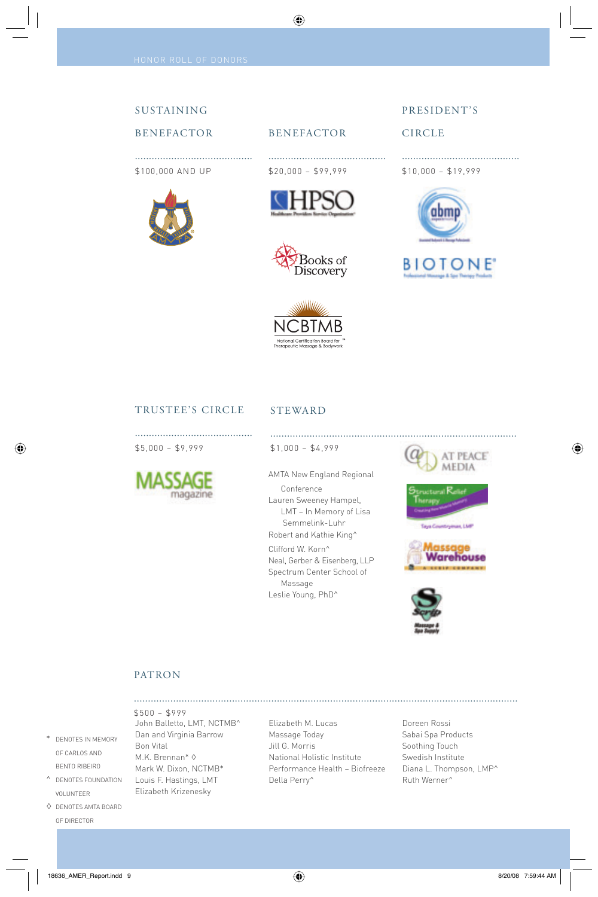# SUSTAINING

# BENEFACTOR

.......................................... \$100,000 AND UP





..........................................

BENEFACTOR

⊕

\$20,000 – \$99,999





# CIRCLE

.......................................... \$10,000 – \$19,999





# TRUSTEE'S CIRCLE

..........................................

# STEWARD

\$5,000 – \$9,999



\$1,000 – \$4,999

AMTA New England Regional Conference Lauren Sweeney Hampel, LMT – In Memory of Lisa Semmelink-Luhr Robert and Kathie King^

Clifford W. Korn^ Neal, Gerber & Eisenberg, LLP Spectrum Center School of Massage Leslie Young, PhD^



........................................................................................

**Integration**, LMP





## PATRON

John Balletto, LMT, NCTMB^ Dan and Virginia Barrow Bon Vital M.K. Brennan\* ◊ Mark W. Dixon, NCTMB\* Louis F. Hastings, LMT Elizabeth Krizenesky \$500 – \$999

Elizabeth M. Lucas Massage Today Jill G. Morris National Holistic Institute Performance Health – Biofreeze Della Perry^

.........................................................................................................................................

Doreen Rossi Sabai Spa Products Soothing Touch Swedish Institute Diana L. Thompson, LMP^ Ruth Werner^

18636\_AMER\_Report.indd 9 8/20/08 7:59:44 AM

\* DENOTES IN MEMORY OF CARLOS AND BENTO RIBEIRO ^ DENOTES FOUNDATION VOLUNTEER ◊ DENOTES AMTA BOARD OF DIRECTOR

⊕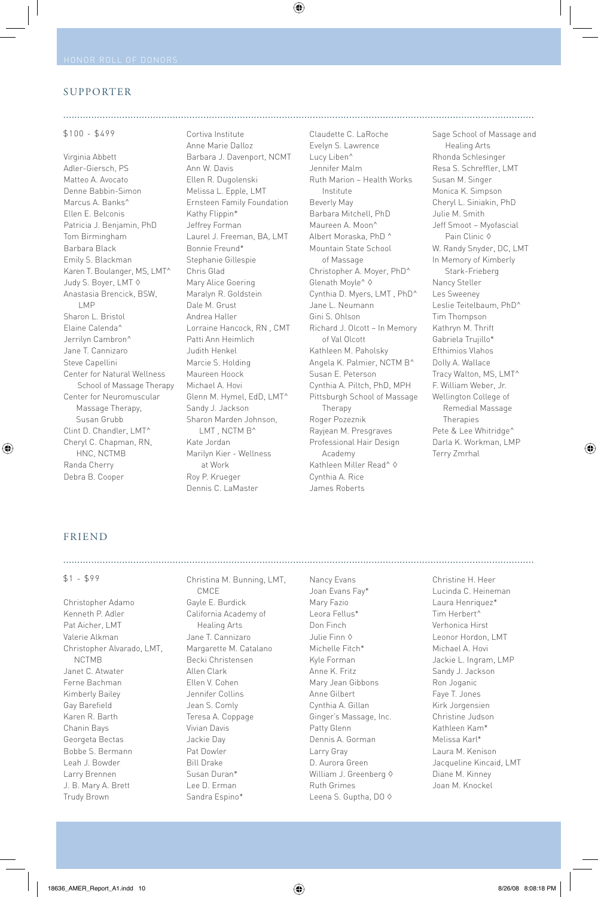## SUPPORTER

### \$100 - \$499

Virginia Abbett Adler-Giersch, PS Matteo A. Avocato Denne Babbin-Simon Marcus A. Banks^ Ellen E. Belconis Patricia J. Benjamin, PhD Tom Birmingham Barbara Black Emily S. Blackman Karen T. Boulanger, MS, LMT^ Judy S. Boyer, LMT ◊ Anastasia Brencick, BSW, LMP Sharon L. Bristol Elaine Calenda^ Jerrilyn Cambron^ Jane T. Cannizaro Steve Capellini Center for Natural Wellness School of Massage Therapy Center for Neuromuscular Massage Therapy, Susan Grubb Clint D. Chandler, LMT^ Cheryl C. Chapman, RN, HNC, NCTMB Randa Cherry Debra B. Cooper

Cortiva Institute Anne Marie Dalloz Barbara J. Davenport, NCMT Ann W. Davis Ellen R. Dugolenski Melissa L. Epple, LMT Ernsteen Family Foundation Kathy Flippin\* Jeffrey Forman Laurel J. Freeman, BA, LMT Bonnie Freund\* Stephanie Gillespie Chris Glad Mary Alice Goering Maralyn R. Goldstein Dale M. Grust Andrea Haller Lorraine Hancock, RN , CMT Patti Ann Heimlich Judith Henkel Marcie S. Holding Maureen Hoock Michael A. Hovi Glenn M. Hymel, EdD, LMT^ Sandy J. Jackson Sharon Marden Johnson, LMT, NCTM B<sup>^</sup> Kate Jordan Marilyn Kier - Wellness at Work Roy P. Krueger Dennis C. LaMaster

........................................................................................................................................................................

 $\bigoplus$ 

Claudette C. LaRoche Evelyn S. Lawrence Lucy Liben^ Jennifer Malm Ruth Marion – Health Works Institute Beverly May Barbara Mitchell, PhD Maureen A. Moon^ Albert Moraska, PhD ^ Mountain State School of Massage Christopher A. Moyer, PhD^ Glenath Moyle^ ◊ Cynthia D. Myers, LMT , PhD^ Jane L. Neumann Gini S. Ohlson Richard J. Olcott – In Memory of Val Olcott Kathleen M. Paholsky Angela K. Palmier, NCTM B^ Susan E. Peterson Cynthia A. Piltch, PhD, MPH Pittsburgh School of Massage Therapy Roger Pozeznik Rayjean M. Presgraves Professional Hair Design Academy Kathleen Miller Read<sup>^</sup> ♦ Cynthia A. Rice James Roberts

Sage School of Massage and Healing Arts Rhonda Schlesinger Resa S. Schreffler, LMT Susan M. Singer Monica K. Simpson Cheryl L. Siniakin, PhD Julie M. Smith Jeff Smoot – Myofascial Pain Clinic ◊ W. Randy Snyder, DC, LMT In Memory of Kimberly Stark-Frieberg Nancy Steller Les Sweeney Leslie Teitelbaum, PhD^ Tim Thompson Kathryn M. Thrift Gabriela Trujillo\* Efthimios Vlahos Dolly A. Wallace Tracy Walton, MS, LMT^ F. William Weber, Jr. Wellington College of Remedial Massage Therapies Pete & Lee Whitridge^ Darla K. Workman, LMP Terry Zmrhal

⊕

## FRIEND

⊕

### \$1 - \$99

Christopher Adamo Kenneth P. Adler Pat Aicher, LMT Valerie Alkman Christopher Alvarado, LMT, NCTMB Janet C. Atwater Ferne Bachman Kimberly Bailey Gay Barefield Karen R. Barth Chanin Bays Georgeta Bectas Bobbe S. Bermann Leah J. Bowder Larry Brennen J. B. Mary A. Brett Trudy Brown

Christina M. Bunning, LMT, CMCE Gayle E. Burdick California Academy of Healing Arts Jane T. Cannizaro Margarette M. Catalano Becki Christensen Allen Clark Ellen V. Cohen Jennifer Collins Jean S. Comly Teresa A. Coppage Vivian Davis Jackie Day Pat Dowler Bill Drake Susan Duran\* Lee D. Erman Sandra Espino\*

Nancy Evans Joan Evans Fay\* Mary Fazio Leora Fellus\* Don Finch Julie Finn ◊ Michelle Fitch\* Kyle Forman Anne K. Fritz Mary Jean Gibbons Anne Gilbert Cynthia A. Gillan Ginger's Massage, Inc. Patty Glenn Dennis A. Gorman Larry Gray D. Aurora Green William J. Greenberg ♦ Ruth Grimes Leena S. Guptha, DO ♦ Christine H. Heer Lucinda C. Heineman Laura Henriquez\* Tim Herbert^ Verhonica Hirst Leonor Hordon, LMT Michael A. Hovi Jackie L. Ingram, LMP Sandy J. Jackson Ron Joganic Faye T. Jones Kirk Jorgensien Christine Judson Kathleen Kam\* Melissa Karl\* Laura M. Kenison Jacqueline Kincaid, LMT Diane M. Kinney Joan M. Knockel

........................................................................................................................................................................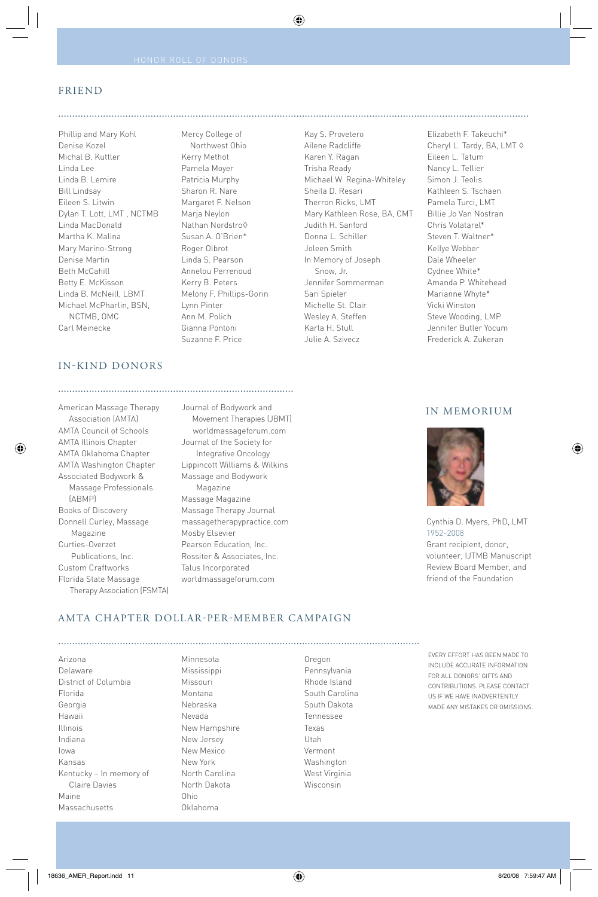Mercy College of Northwest Ohio Kerry Methot Pamela Moyer Patricia Murphy Sharon R. Nare Margaret F. Nelson Marja Neylon Nathan Nordstro◊ Susan A. O'Brien\* Roger Olbrot Linda S. Pearson Annelou Perrenoud Kerry B. Peters Melony F. Phillips-Gorin

........................................................................................................................................................................

◈

Lynn Pinter Ann M. Polich Gianna Pontoni Suzanne F. Price

# FRIEND

Phillip and Mary Kohl Denise Kozel Michal B. Kuttler Linda Lee Linda B. Lemire Bill Lindsay Eileen S. Litwin Dylan T. Lott, LMT , NCTMB Linda MacDonald Martha K. Malina Mary Marino-Strong Denise Martin Beth McCahill Betty E. McKisson Linda B. McNeill, LBMT Michael McPharlin, BSN, NCTMB, OMC Carl Meinecke

# IN-KIND DONORS

....................................................................................

⊕

American Massage Therapy Association (AMTA) AMTA Council of Schools AMTA Illinois Chapter AMTA Oklahoma Chapter AMTA Washington Chapter Associated Bodywork & Massage Professionals (ABMP) Books of Discovery Donnell Curley, Massage Magazine Curties-Overzet Publications, Inc. Custom Craftworks Florida State Massage Therapy Association (FSMTA) Journal of Bodywork and Movement Therapies (JBMT) worldmassageforum.com Journal of the Society for Integrative Oncology Lippincott Williams & Wilkins Massage and Bodywork Magazine Massage Magazine Massage Therapy Journal massagetherapypractice.com Mosby Elsevier Pearson Education, Inc. Rossiter & Associates, Inc. Talus Incorporated worldmassageforum.com

.................................................................................................................................

Kay S. Provetero Ailene Radcliffe Karen Y. Ragan Trisha Ready Michael W. Regina-Whiteley Sheila D. Resari Therron Ricks, LMT Mary Kathleen Rose, BA, CMT Judith H. Sanford Donna L. Schiller Joleen Smith In Memory of Joseph Snow, Jr. Jennifer Sommerman Sari Spieler Michelle St. Clair Wesley A. Steffen Karla H. Stull Julie A. Szivecz

Elizabeth F. Takeuchi\* Cheryl L. Tardy, BA, LMT ◊ Eileen L. Tatum Nancy L. Tellier Simon J. Teolis Kathleen S. Tschaen Pamela Turci, LMT Billie Jo Van Nostran Chris Volatarel\* Steven T. Waltner\* Kellye Webber Dale Wheeler Cydnee White\* Amanda P. Whitehead Marianne Whyte\* Vicki Winston Steve Wooding, LMP Jennifer Butler Yocum Frederick A. Zukeran

# IN MEMORIUM

⊕



Cynthia D. Myers, PhD, LMT 1952-2008 Grant recipient, donor, volunteer, IJTMB Manuscript Review Board Member, and friend of the Foundation

# AMTA CHAPTER DOLLAR-PER-MEMBER CAMPAIGN

Arizona Delaware District of Columbia Florida Georgia Hawaii Illinois Indiana Iowa Kansas Kentucky – In memory of Claire Davies Maine Massachusetts

Minnesota Mississippi Missouri Montana Nebraska Nevada New Hampshire New Jersey New Mexico New York North Carolina North Dakota Ohio Oklahoma

Oregon Pennsylvania Rhode Island South Carolina South Dakota Tennessee Texas Utah Vermont Washington West Virginia Wisconsin

EVERY EFFORT HAS BEEN MADE TO INCLUDE ACCURATE INFORMATION FOR ALL DONORS' GIFTS AND CONTRIBUTIONS. PLEASE CONTACT US IF WE HAVE INADVERTENTLY MADE ANY MISTAKES OR OMISSIONS.